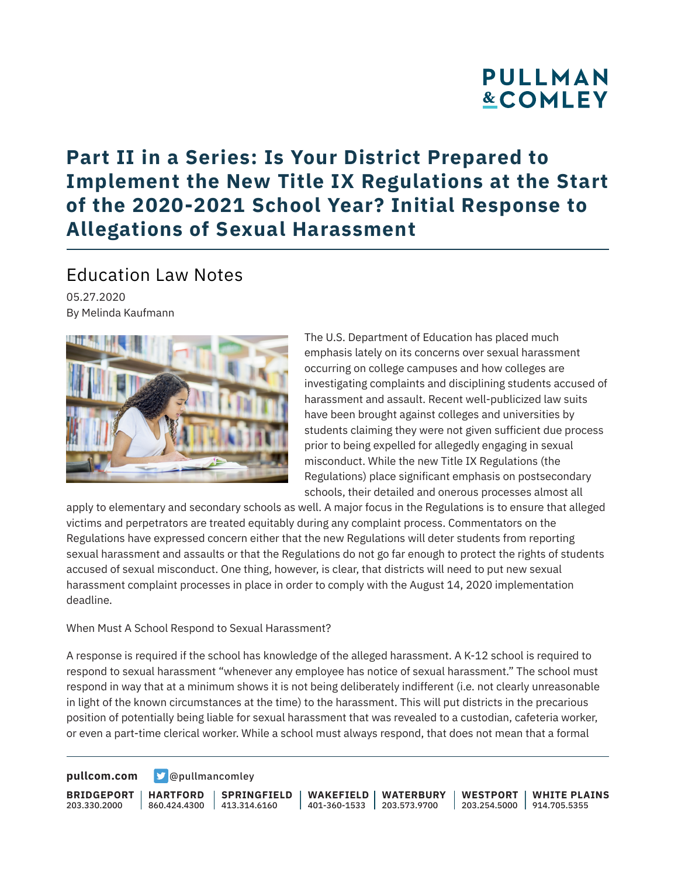# PULLMAN **&COMLEY**

## **Part II in a Series: Is Your District Prepared to Implement the New Title IX Regulations at the Start of the 2020-2021 School Year? Initial Response to Allegations of Sexual Harassment**

### Education Law Notes

05.27.2020 By Melinda Kaufmann



The U.S. Department of Education has placed much emphasis lately on its concerns over sexual harassment occurring on college campuses and how colleges are investigating complaints and disciplining students accused of harassment and assault. Recent well-publicized law suits have been brought against colleges and universities by students claiming they were not given sufficient due process prior to being expelled for allegedly engaging in sexual misconduct. While the new Title IX Regulations (the Regulations) place significant emphasis on postsecondary schools, their detailed and onerous processes almost all

apply to elementary and secondary schools as well. A major focus in the Regulations is to ensure that alleged victims and perpetrators are treated equitably during any complaint process. Commentators on the Regulations have expressed concern either that the new Regulations will deter students from reporting sexual harassment and assaults or that the Regulations do not go far enough to protect the rights of students accused of sexual misconduct. One thing, however, is clear, that districts will need to put new sexual harassment complaint processes in place in order to comply with the August 14, 2020 implementation deadline.

#### When Must A School Respond to Sexual Harassment?

A response is required if the school has knowledge of the alleged harassment. A K-12 school is required to respond to sexual harassment "whenever any employee has notice of sexual harassment." The school must respond in way that at a minimum shows it is not being deliberately indifferent (i.e. not clearly unreasonable in light of the known circumstances at the time) to the harassment. This will put districts in the precarious position of potentially being liable for sexual harassment that was revealed to a custodian, cafeteria worker, or even a part-time clerical worker. While a school must always respond, that does not mean that a formal

**[pullcom.com](https://www.pullcom.com) g** [@pullmancomley](https://twitter.com/PullmanComley)

**BRIDGEPORT** 203.330.2000

**HARTFORD**

860.424.4300 413.314.6160 **SPRINGFIELD** **WAKEFIELD** 401-360-1533 203.573.9700 **WATERBURY**

**WESTPORT WHITE PLAINS** 203.254.5000 914.705.5355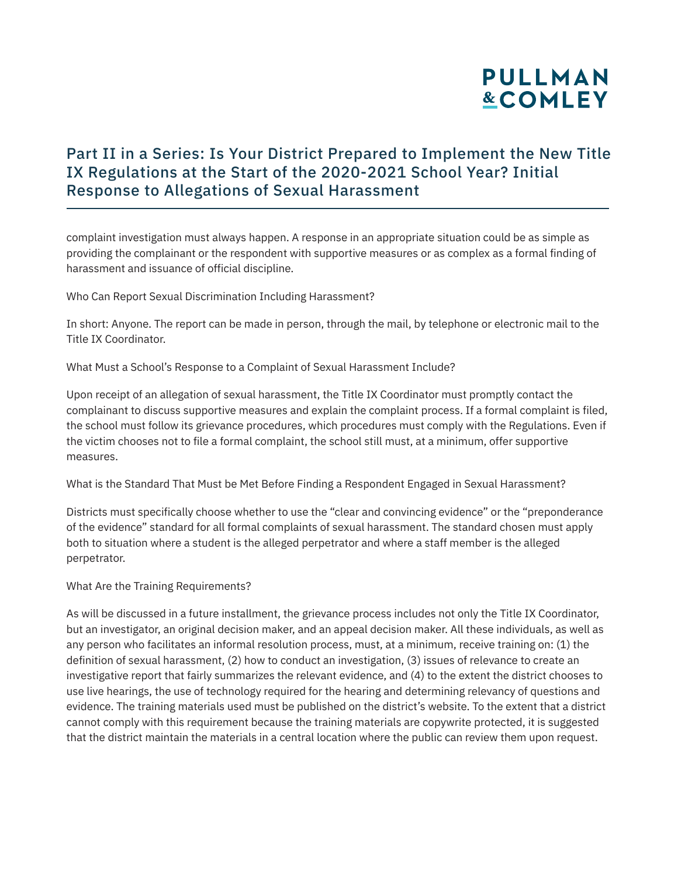# **PULLMAN &COMLEY**

### Part II in a Series: Is Your District Prepared to Implement the New Title IX Regulations at the Start of the 2020-2021 School Year? Initial Response to Allegations of Sexual Harassment

complaint investigation must always happen. A response in an appropriate situation could be as simple as providing the complainant or the respondent with supportive measures or as complex as a formal finding of harassment and issuance of official discipline.

Who Can Report Sexual Discrimination Including Harassment?

In short: Anyone. The report can be made in person, through the mail, by telephone or electronic mail to the Title IX Coordinator.

What Must a School's Response to a Complaint of Sexual Harassment Include?

Upon receipt of an allegation of sexual harassment, the Title IX Coordinator must promptly contact the complainant to discuss supportive measures and explain the complaint process. If a formal complaint is filed, the school must follow its grievance procedures, which procedures must comply with the Regulations. Even if the victim chooses not to file a formal complaint, the school still must, at a minimum, offer supportive measures.

What is the Standard That Must be Met Before Finding a Respondent Engaged in Sexual Harassment?

Districts must specifically choose whether to use the "clear and convincing evidence" or the "preponderance of the evidence" standard for all formal complaints of sexual harassment. The standard chosen must apply both to situation where a student is the alleged perpetrator and where a staff member is the alleged perpetrator.

#### What Are the Training Requirements?

As will be discussed in a future installment, the grievance process includes not only the Title IX Coordinator, but an investigator, an original decision maker, and an appeal decision maker. All these individuals, as well as any person who facilitates an informal resolution process, must, at a minimum, receive training on: (1) the definition of sexual harassment, (2) how to conduct an investigation, (3) issues of relevance to create an investigative report that fairly summarizes the relevant evidence, and (4) to the extent the district chooses to use live hearings, the use of technology required for the hearing and determining relevancy of questions and evidence. The training materials used must be published on the district's website. To the extent that a district cannot comply with this requirement because the training materials are copywrite protected, it is suggested that the district maintain the materials in a central location where the public can review them upon request.